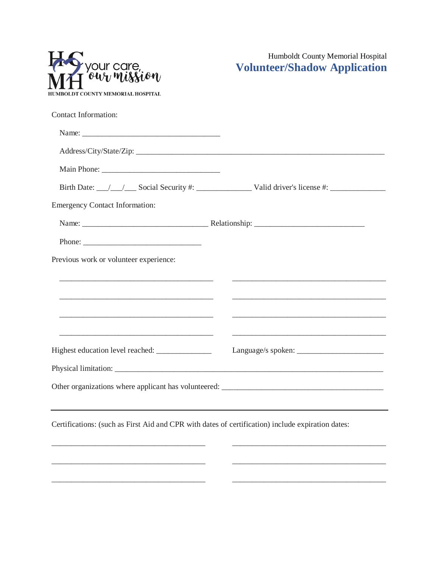| HUMBOLDT COUNTY MEMORIAL HOSPITAL |
|-----------------------------------|

Humboldt County Memorial Hospital<br>Volunteer/Shadow Application

| <b>Contact Information:</b>                                                                       |                                                                                                                        |
|---------------------------------------------------------------------------------------------------|------------------------------------------------------------------------------------------------------------------------|
|                                                                                                   |                                                                                                                        |
|                                                                                                   |                                                                                                                        |
|                                                                                                   |                                                                                                                        |
|                                                                                                   |                                                                                                                        |
| <b>Emergency Contact Information:</b>                                                             |                                                                                                                        |
|                                                                                                   |                                                                                                                        |
|                                                                                                   |                                                                                                                        |
| Previous work or volunteer experience:                                                            |                                                                                                                        |
|                                                                                                   |                                                                                                                        |
|                                                                                                   |                                                                                                                        |
|                                                                                                   | <u> 1989 - Johann Harry Harry Harry Harry Harry Harry Harry Harry Harry Harry Harry Harry Harry Harry Harry Harry</u>  |
|                                                                                                   | <u> 1989 - Johann John Stoff, deutscher Stoffen und der Stoffen und der Stoffen und der Stoffen und der Stoffen un</u> |
|                                                                                                   |                                                                                                                        |
|                                                                                                   |                                                                                                                        |
|                                                                                                   |                                                                                                                        |
|                                                                                                   |                                                                                                                        |
| Certifications: (such as First Aid and CPR with dates of certification) include expiration dates: |                                                                                                                        |
|                                                                                                   |                                                                                                                        |
|                                                                                                   |                                                                                                                        |
|                                                                                                   |                                                                                                                        |